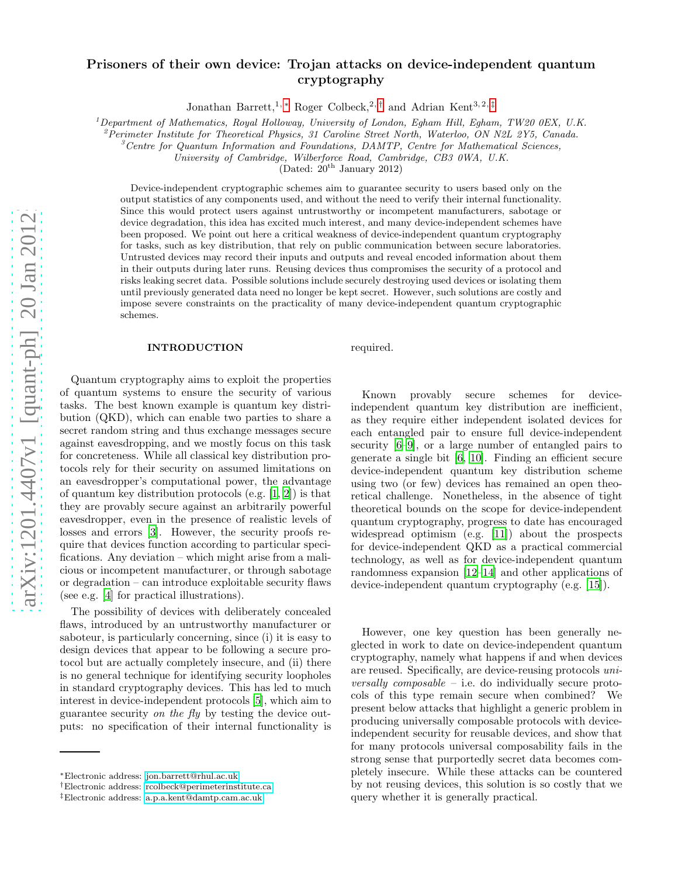# arXiv:1201.4407v1 [quant-ph] 20 Jan 2012 [arXiv:1201.4407v1 \[quant-ph\] 20 Jan 2012](http://arxiv.org/abs/1201.4407v1)

# Prisoners of their own device: Trojan attacks on device-independent quantum cryptography

Jonathan Barrett,<sup>1, \*</sup> Roger Colbeck,<sup>2, [†](#page-0-1)</sup> and Adrian Kent<sup>3,2, [‡](#page-0-2)</sup>

<sup>1</sup>*Department of Mathematics, Royal Holloway, University of London, Egham Hill, Egham, TW20 0EX, U.K.*

<sup>2</sup>*Perimeter Institute for Theoretical Physics, 31 Caroline Street North, Waterloo, ON N2L 2Y5, Canada.*

<sup>3</sup>*Centre for Quantum Information and Foundations, DAMTP, Centre for Mathematical Sciences,*

*University of Cambridge, Wilberforce Road, Cambridge, CB3 0WA, U.K.*

(Dated:  $20^{th}$  January 2012)

Device-independent cryptographic schemes aim to guarantee security to users based only on the output statistics of any components used, and without the need to verify their internal functionality. Since this would protect users against untrustworthy or incompetent manufacturers, sabotage or device degradation, this idea has excited much interest, and many device-independent schemes have been proposed. We point out here a critical weakness of device-independent quantum cryptography for tasks, such as key distribution, that rely on public communication between secure laboratories. Untrusted devices may record their inputs and outputs and reveal encoded information about them in their outputs during later runs. Reusing devices thus compromises the security of a protocol and risks leaking secret data. Possible solutions include securely destroying used devices or isolating them until previously generated data need no longer be kept secret. However, such solutions are costly and impose severe constraints on the practicality of many device-independent quantum cryptographic schemes.

### INTRODUCTION

required.

Quantum cryptography aims to exploit the properties of quantum systems to ensure the security of various tasks. The best known example is quantum key distribution (QKD), which can enable two parties to share a secret random string and thus exchange messages secure against eavesdropping, and we mostly focus on this task for concreteness. While all classical key distribution protocols rely for their security on assumed limitations on an eavesdropper's computational power, the advantage of quantum key distribution protocols (e.g. [\[1,](#page-4-0) [2](#page-4-1)]) is that they are provably secure against an arbitrarily powerful eavesdropper, even in the presence of realistic levels of losses and errors [\[3\]](#page-4-2). However, the security proofs require that devices function according to particular specifications. Any deviation – which might arise from a malicious or incompetent manufacturer, or through sabotage or degradation – can introduce exploitable security flaws (see e.g. [\[4\]](#page-4-3) for practical illustrations).

The possibility of devices with deliberately concealed flaws, introduced by an untrustworthy manufacturer or saboteur, is particularly concerning, since (i) it is easy to design devices that appear to be following a secure protocol but are actually completely insecure, and (ii) there is no general technique for identifying security loopholes in standard cryptography devices. This has led to much interest in device-independent protocols [\[5\]](#page-4-4), which aim to guarantee security on the fly by testing the device outputs: no specification of their internal functionality is

Known provably secure schemes for deviceindependent quantum key distribution are inefficient, as they require either independent isolated devices for each entangled pair to ensure full device-independent security [\[6](#page-4-5)[–9\]](#page-4-6), or a large number of entangled pairs to generate a single bit [\[6](#page-4-5), [10\]](#page-4-7). Finding an efficient secure device-independent quantum key distribution scheme using two (or few) devices has remained an open theoretical challenge. Nonetheless, in the absence of tight theoretical bounds on the scope for device-independent quantum cryptography, progress to date has encouraged widespread optimism (e.g. [\[11\]](#page-4-8)) about the prospects for device-independent QKD as a practical commercial technology, as well as for device-independent quantum randomness expansion [\[12](#page-4-9)[–14\]](#page-4-10) and other applications of device-independent quantum cryptography (e.g. [\[15\]](#page-4-11)).

However, one key question has been generally neglected in work to date on device-independent quantum cryptography, namely what happens if and when devices are reused. Specifically, are device-reusing protocols universally composable – i.e. do individually secure protocols of this type remain secure when combined? We present below attacks that highlight a generic problem in producing universally composable protocols with deviceindependent security for reusable devices, and show that for many protocols universal composability fails in the strong sense that purportedly secret data becomes completely insecure. While these attacks can be countered by not reusing devices, this solution is so costly that we query whether it is generally practical.

<span id="page-0-0"></span><sup>∗</sup>Electronic address: [jon.barrett@rhul.ac.uk](mailto:jon.barrett@rhul.ac.uk)

<span id="page-0-1"></span><sup>†</sup>Electronic address: [rcolbeck@perimeterinstitute.ca](mailto:rcolbeck@perimeterinstitute.ca)

<span id="page-0-2"></span><sup>‡</sup>Electronic address: [a.p.a.kent@damtp.cam.ac.uk](mailto:a.p.a.kent@damtp.cam.ac.uk)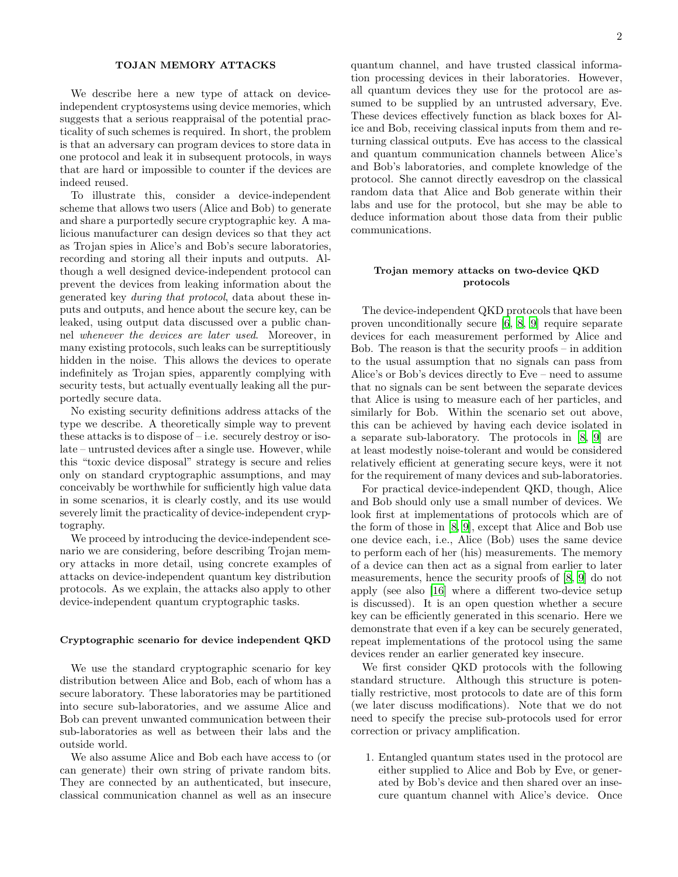# TOJAN MEMORY ATTACKS

We describe here a new type of attack on deviceindependent cryptosystems using device memories, which suggests that a serious reappraisal of the potential practicality of such schemes is required. In short, the problem is that an adversary can program devices to store data in one protocol and leak it in subsequent protocols, in ways that are hard or impossible to counter if the devices are indeed reused.

To illustrate this, consider a device-independent scheme that allows two users (Alice and Bob) to generate and share a purportedly secure cryptographic key. A malicious manufacturer can design devices so that they act as Trojan spies in Alice's and Bob's secure laboratories, recording and storing all their inputs and outputs. Although a well designed device-independent protocol can prevent the devices from leaking information about the generated key during that protocol, data about these inputs and outputs, and hence about the secure key, can be leaked, using output data discussed over a public channel whenever the devices are later used. Moreover, in many existing protocols, such leaks can be surreptitiously hidden in the noise. This allows the devices to operate indefinitely as Trojan spies, apparently complying with security tests, but actually eventually leaking all the purportedly secure data.

No existing security definitions address attacks of the type we describe. A theoretically simple way to prevent these attacks is to dispose of – i.e. securely destroy or isolate – untrusted devices after a single use. However, while this "toxic device disposal" strategy is secure and relies only on standard cryptographic assumptions, and may conceivably be worthwhile for sufficiently high value data in some scenarios, it is clearly costly, and its use would severely limit the practicality of device-independent cryptography.

We proceed by introducing the device-independent scenario we are considering, before describing Trojan memory attacks in more detail, using concrete examples of attacks on device-independent quantum key distribution protocols. As we explain, the attacks also apply to other device-independent quantum cryptographic tasks.

### Cryptographic scenario for device independent QKD

We use the standard cryptographic scenario for key distribution between Alice and Bob, each of whom has a secure laboratory. These laboratories may be partitioned into secure sub-laboratories, and we assume Alice and Bob can prevent unwanted communication between their sub-laboratories as well as between their labs and the outside world.

We also assume Alice and Bob each have access to (or can generate) their own string of private random bits. They are connected by an authenticated, but insecure, classical communication channel as well as an insecure

quantum channel, and have trusted classical information processing devices in their laboratories. However, all quantum devices they use for the protocol are assumed to be supplied by an untrusted adversary, Eve. These devices effectively function as black boxes for Alice and Bob, receiving classical inputs from them and returning classical outputs. Eve has access to the classical and quantum communication channels between Alice's and Bob's laboratories, and complete knowledge of the protocol. She cannot directly eavesdrop on the classical random data that Alice and Bob generate within their labs and use for the protocol, but she may be able to deduce information about those data from their public communications.

### Trojan memory attacks on two-device QKD protocols

The device-independent QKD protocols that have been proven unconditionally secure [\[6,](#page-4-5) [8,](#page-4-12) [9\]](#page-4-6) require separate devices for each measurement performed by Alice and Bob. The reason is that the security proofs – in addition to the usual assumption that no signals can pass from Alice's or Bob's devices directly to Eve – need to assume that no signals can be sent between the separate devices that Alice is using to measure each of her particles, and similarly for Bob. Within the scenario set out above, this can be achieved by having each device isolated in a separate sub-laboratory. The protocols in [\[8,](#page-4-12) [9](#page-4-6)] are at least modestly noise-tolerant and would be considered relatively efficient at generating secure keys, were it not for the requirement of many devices and sub-laboratories.

For practical device-independent QKD, though, Alice and Bob should only use a small number of devices. We look first at implementations of protocols which are of the form of those in [\[8,](#page-4-12) [9](#page-4-6)], except that Alice and Bob use one device each, i.e., Alice (Bob) uses the same device to perform each of her (his) measurements. The memory of a device can then act as a signal from earlier to later measurements, hence the security proofs of [\[8](#page-4-12), [9\]](#page-4-6) do not apply (see also [\[16\]](#page-4-13) where a different two-device setup is discussed). It is an open question whether a secure key can be efficiently generated in this scenario. Here we demonstrate that even if a key can be securely generated, repeat implementations of the protocol using the same devices render an earlier generated key insecure.

We first consider QKD protocols with the following standard structure. Although this structure is potentially restrictive, most protocols to date are of this form (we later discuss modifications). Note that we do not need to specify the precise sub-protocols used for error correction or privacy amplification.

1. Entangled quantum states used in the protocol are either supplied to Alice and Bob by Eve, or generated by Bob's device and then shared over an insecure quantum channel with Alice's device. Once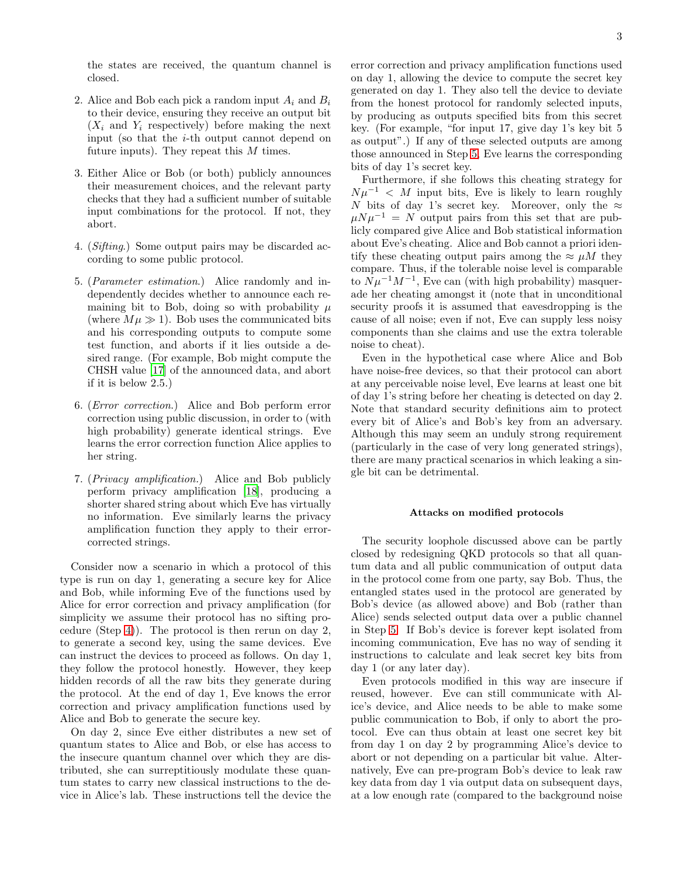the states are received, the quantum channel is closed.

- 2. Alice and Bob each pick a random input  $A_i$  and  $B_i$ to their device, ensuring they receive an output bit  $(X_i$  and  $Y_i$  respectively) before making the next input (so that the  $i$ -th output cannot depend on future inputs). They repeat this  $M$  times.
- 3. Either Alice or Bob (or both) publicly announces their measurement choices, and the relevant party checks that they had a sufficient number of suitable input combinations for the protocol. If not, they abort.
- <span id="page-2-0"></span>4. (Sifting.) Some output pairs may be discarded according to some public protocol.
- <span id="page-2-1"></span>5. (Parameter estimation.) Alice randomly and independently decides whether to announce each remaining bit to Bob, doing so with probability  $\mu$ (where  $M\mu \gg 1$ ). Bob uses the communicated bits and his corresponding outputs to compute some test function, and aborts if it lies outside a desired range. (For example, Bob might compute the CHSH value [\[17\]](#page-4-14) of the announced data, and abort if it is below 2.5.)
- 6. (Error correction.) Alice and Bob perform error correction using public discussion, in order to (with high probability) generate identical strings. Eve learns the error correction function Alice applies to her string.
- <span id="page-2-2"></span>7. (Privacy amplification.) Alice and Bob publicly perform privacy amplification [\[18](#page-4-15)], producing a shorter shared string about which Eve has virtually no information. Eve similarly learns the privacy amplification function they apply to their errorcorrected strings.

Consider now a scenario in which a protocol of this type is run on day 1, generating a secure key for Alice and Bob, while informing Eve of the functions used by Alice for error correction and privacy amplification (for simplicity we assume their protocol has no sifting procedure (Step [4\)](#page-2-0)). The protocol is then rerun on day 2, to generate a second key, using the same devices. Eve can instruct the devices to proceed as follows. On day 1, they follow the protocol honestly. However, they keep hidden records of all the raw bits they generate during the protocol. At the end of day 1, Eve knows the error correction and privacy amplification functions used by Alice and Bob to generate the secure key.

On day 2, since Eve either distributes a new set of quantum states to Alice and Bob, or else has access to the insecure quantum channel over which they are distributed, she can surreptitiously modulate these quantum states to carry new classical instructions to the device in Alice's lab. These instructions tell the device the error correction and privacy amplification functions used on day 1, allowing the device to compute the secret key generated on day 1. They also tell the device to deviate from the honest protocol for randomly selected inputs, by producing as outputs specified bits from this secret key. (For example, "for input 17, give day 1's key bit 5 as output".) If any of these selected outputs are among those announced in Step [5,](#page-2-1) Eve learns the corresponding bits of day 1's secret key.

Furthermore, if she follows this cheating strategy for  $Nu^{-1}$  < M input bits, Eve is likely to learn roughly N bits of day 1's secret key. Moreover, only the  $\approx$  $\mu N \mu^{-1} = N$  output pairs from this set that are publicly compared give Alice and Bob statistical information about Eve's cheating. Alice and Bob cannot a priori identify these cheating output pairs among the  $\approx \mu M$  they compare. Thus, if the tolerable noise level is comparable to  $N\mu^{-1}M^{-1}$ , Eve can (with high probability) masquerade her cheating amongst it (note that in unconditional security proofs it is assumed that eavesdropping is the cause of all noise; even if not, Eve can supply less noisy components than she claims and use the extra tolerable noise to cheat).

Even in the hypothetical case where Alice and Bob have noise-free devices, so that their protocol can abort at any perceivable noise level, Eve learns at least one bit of day 1's string before her cheating is detected on day 2. Note that standard security definitions aim to protect every bit of Alice's and Bob's key from an adversary. Although this may seem an unduly strong requirement (particularly in the case of very long generated strings), there are many practical scenarios in which leaking a single bit can be detrimental.

# Attacks on modified protocols

The security loophole discussed above can be partly closed by redesigning QKD protocols so that all quantum data and all public communication of output data in the protocol come from one party, say Bob. Thus, the entangled states used in the protocol are generated by Bob's device (as allowed above) and Bob (rather than Alice) sends selected output data over a public channel in Step [5.](#page-2-1) If Bob's device is forever kept isolated from incoming communication, Eve has no way of sending it instructions to calculate and leak secret key bits from day 1 (or any later day).

Even protocols modified in this way are insecure if reused, however. Eve can still communicate with Alice's device, and Alice needs to be able to make some public communication to Bob, if only to abort the protocol. Eve can thus obtain at least one secret key bit from day 1 on day 2 by programming Alice's device to abort or not depending on a particular bit value. Alternatively, Eve can pre-program Bob's device to leak raw key data from day 1 via output data on subsequent days, at a low enough rate (compared to the background noise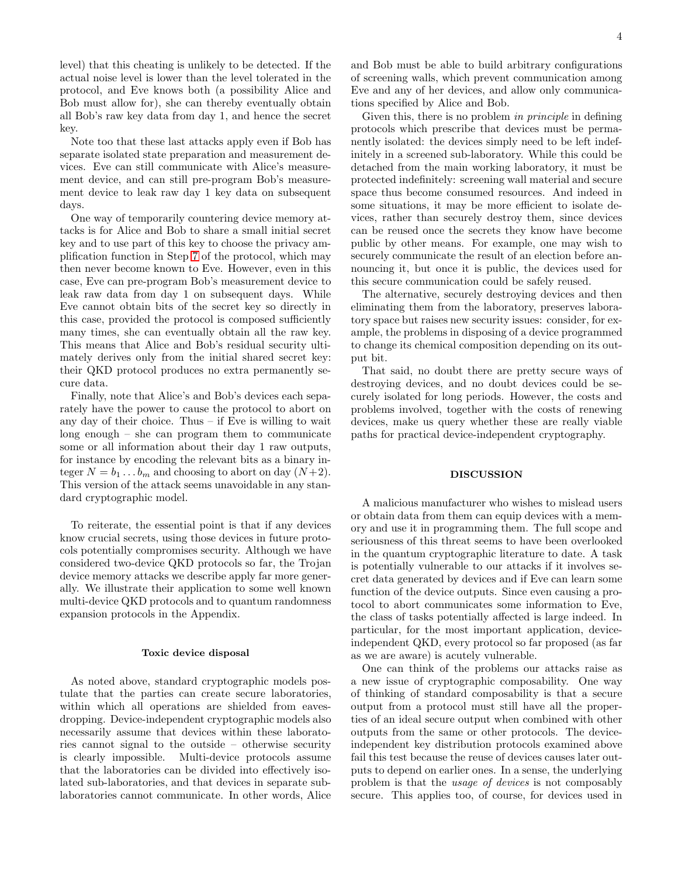level) that this cheating is unlikely to be detected. If the actual noise level is lower than the level tolerated in the protocol, and Eve knows both (a possibility Alice and Bob must allow for), she can thereby eventually obtain all Bob's raw key data from day 1, and hence the secret key.

Note too that these last attacks apply even if Bob has separate isolated state preparation and measurement devices. Eve can still communicate with Alice's measurement device, and can still pre-program Bob's measurement device to leak raw day 1 key data on subsequent days.

One way of temporarily countering device memory attacks is for Alice and Bob to share a small initial secret key and to use part of this key to choose the privacy amplification function in Step [7](#page-2-2) of the protocol, which may then never become known to Eve. However, even in this case, Eve can pre-program Bob's measurement device to leak raw data from day 1 on subsequent days. While Eve cannot obtain bits of the secret key so directly in this case, provided the protocol is composed sufficiently many times, she can eventually obtain all the raw key. This means that Alice and Bob's residual security ultimately derives only from the initial shared secret key: their QKD protocol produces no extra permanently secure data.

Finally, note that Alice's and Bob's devices each separately have the power to cause the protocol to abort on any day of their choice. Thus – if Eve is willing to wait long enough – she can program them to communicate some or all information about their day 1 raw outputs, for instance by encoding the relevant bits as a binary integer  $N = b_1 \dots b_m$  and choosing to abort on day  $(N+2)$ . This version of the attack seems unavoidable in any standard cryptographic model.

To reiterate, the essential point is that if any devices know crucial secrets, using those devices in future protocols potentially compromises security. Although we have considered two-device QKD protocols so far, the Trojan device memory attacks we describe apply far more generally. We illustrate their application to some well known multi-device QKD protocols and to quantum randomness expansion protocols in the Appendix.

### Toxic device disposal

As noted above, standard cryptographic models postulate that the parties can create secure laboratories, within which all operations are shielded from eavesdropping. Device-independent cryptographic models also necessarily assume that devices within these laboratories cannot signal to the outside – otherwise security is clearly impossible. Multi-device protocols assume that the laboratories can be divided into effectively isolated sub-laboratories, and that devices in separate sublaboratories cannot communicate. In other words, Alice 4

and Bob must be able to build arbitrary configurations of screening walls, which prevent communication among Eve and any of her devices, and allow only communications specified by Alice and Bob.

Given this, there is no problem in *principle* in defining protocols which prescribe that devices must be permanently isolated: the devices simply need to be left indefinitely in a screened sub-laboratory. While this could be detached from the main working laboratory, it must be protected indefinitely: screening wall material and secure space thus become consumed resources. And indeed in some situations, it may be more efficient to isolate devices, rather than securely destroy them, since devices can be reused once the secrets they know have become public by other means. For example, one may wish to securely communicate the result of an election before announcing it, but once it is public, the devices used for this secure communication could be safely reused.

The alternative, securely destroying devices and then eliminating them from the laboratory, preserves laboratory space but raises new security issues: consider, for example, the problems in disposing of a device programmed to change its chemical composition depending on its output bit.

That said, no doubt there are pretty secure ways of destroying devices, and no doubt devices could be securely isolated for long periods. However, the costs and problems involved, together with the costs of renewing devices, make us query whether these are really viable paths for practical device-independent cryptography.

### **DISCUSSION**

A malicious manufacturer who wishes to mislead users or obtain data from them can equip devices with a memory and use it in programming them. The full scope and seriousness of this threat seems to have been overlooked in the quantum cryptographic literature to date. A task is potentially vulnerable to our attacks if it involves secret data generated by devices and if Eve can learn some function of the device outputs. Since even causing a protocol to abort communicates some information to Eve, the class of tasks potentially affected is large indeed. In particular, for the most important application, deviceindependent QKD, every protocol so far proposed (as far as we are aware) is acutely vulnerable.

One can think of the problems our attacks raise as a new issue of cryptographic composability. One way of thinking of standard composability is that a secure output from a protocol must still have all the properties of an ideal secure output when combined with other outputs from the same or other protocols. The deviceindependent key distribution protocols examined above fail this test because the reuse of devices causes later outputs to depend on earlier ones. In a sense, the underlying problem is that the usage of devices is not composably secure. This applies too, of course, for devices used in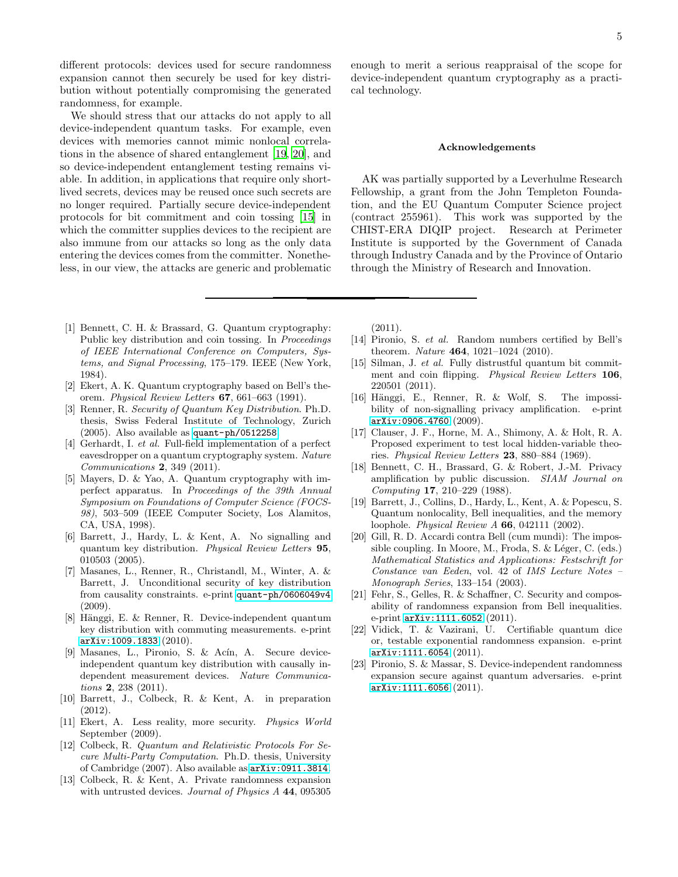different protocols: devices used for secure randomness expansion cannot then securely be used for key distribution without potentially compromising the generated randomness, for example.

We should stress that our attacks do not apply to all device-independent quantum tasks. For example, even devices with memories cannot mimic nonlocal correlations in the absence of shared entanglement [\[19,](#page-4-16) [20\]](#page-4-17), and so device-independent entanglement testing remains viable. In addition, in applications that require only shortlived secrets, devices may be reused once such secrets are no longer required. Partially secure device-independent protocols for bit commitment and coin tossing [\[15](#page-4-11)] in which the committer supplies devices to the recipient are also immune from our attacks so long as the only data entering the devices comes from the committer. Nonetheless, in our view, the attacks are generic and problematic

- <span id="page-4-0"></span>[1] Bennett, C. H. & Brassard, G. Quantum cryptography: Public key distribution and coin tossing. In *Proceedings of IEEE International Conference on Computers, Systems, and Signal Processing*, 175–179. IEEE (New York, 1984).
- <span id="page-4-1"></span>[2] Ekert, A. K. Quantum cryptography based on Bell's theorem. *Physical Review Letters* 67, 661–663 (1991).
- <span id="page-4-2"></span>[3] Renner, R. *Security of Quantum Key Distribution*. Ph.D. thesis, Swiss Federal Institute of Technology, Zurich (2005). Also available as <quant-ph/0512258>.
- <span id="page-4-3"></span>[4] Gerhardt, I. *et al.* Full-field implementation of a perfect eavesdropper on a quantum cryptography system. *Nature Communications* 2, 349 (2011).
- <span id="page-4-4"></span>[5] Mayers, D. & Yao, A. Quantum cryptography with imperfect apparatus. In *Proceedings of the 39th Annual Symposium on Foundations of Computer Science (FOCS-98)*, 503–509 (IEEE Computer Society, Los Alamitos, CA, USA, 1998).
- <span id="page-4-5"></span>[6] Barrett, J., Hardy, L. & Kent, A. No signalling and quantum key distribution. *Physical Review Letters* 95, 010503 (2005).
- [7] Masanes, L., Renner, R., Christandl, M., Winter, A. & Barrett, J. Unconditional security of key distribution from causality constraints. e-print <quant-ph/0606049v4> (2009).
- <span id="page-4-12"></span>[8] Hänggi, E. & Renner, R. Device-independent quantum key distribution with commuting measurements. e-print <arXiv:1009.1833> (2010).
- <span id="page-4-6"></span>[9] Masanes, L., Pironio, S. & Acín, A. Secure deviceindependent quantum key distribution with causally independent measurement devices. *Nature Communications* 2, 238 (2011).
- <span id="page-4-7"></span>[10] Barrett, J., Colbeck, R. & Kent, A. in preparation (2012).
- <span id="page-4-8"></span>[11] Ekert, A. Less reality, more security. *Physics World* September (2009).
- <span id="page-4-9"></span>[12] Colbeck, R. *Quantum and Relativistic Protocols For Secure Multi-Party Computation*. Ph.D. thesis, University of Cambridge (2007). Also available as <arXiv:0911.3814>.
- <span id="page-4-18"></span>[13] Colbeck, R. & Kent, A. Private randomness expansion with untrusted devices. *Journal of Physics A* 44, 095305

enough to merit a serious reappraisal of the scope for device-independent quantum cryptography as a practical technology.

### Acknowledgements

AK was partially supported by a Leverhulme Research Fellowship, a grant from the John Templeton Foundation, and the EU Quantum Computer Science project (contract 255961). This work was supported by the CHIST-ERA DIQIP project. Research at Perimeter Institute is supported by the Government of Canada through Industry Canada and by the Province of Ontario through the Ministry of Research and Innovation.

(2011).

- <span id="page-4-10"></span>[14] Pironio, S. *et al.* Random numbers certified by Bell's theorem. *Nature* 464, 1021–1024 (2010).
- <span id="page-4-11"></span>[15] Silman, J. *et al.* Fully distrustful quantum bit commitment and coin flipping. *Physical Review Letters* 106, 220501 (2011).
- <span id="page-4-13"></span>[16] Hänggi, E., Renner, R. & Wolf, S. The impossibility of non-signalling privacy amplification. e-print <arXiv:0906.4760> (2009).
- <span id="page-4-14"></span>[17] Clauser, J. F., Horne, M. A., Shimony, A. & Holt, R. A. Proposed experiment to test local hidden-variable theories. *Physical Review Letters* 23, 880–884 (1969).
- <span id="page-4-15"></span>[18] Bennett, C. H., Brassard, G. & Robert, J.-M. Privacy amplification by public discussion. *SIAM Journal on Computing* 17, 210–229 (1988).
- <span id="page-4-16"></span>[19] Barrett, J., Collins, D., Hardy, L., Kent, A. & Popescu, S. Quantum nonlocality, Bell inequalities, and the memory loophole. *Physical Review A* 66, 042111 (2002).
- <span id="page-4-17"></span>[20] Gill, R. D. Accardi contra Bell (cum mundi): The impossible coupling. In Moore, M., Froda, S. & Léger, C. (eds.) *Mathematical Statistics and Applications: Festschrift for Constance van Eeden*, vol. 42 of *IMS Lecture Notes – Monograph Series*, 133–154 (2003).
- <span id="page-4-19"></span>[21] Fehr, S., Gelles, R. & Schaffner, C. Security and composability of randomness expansion from Bell inequalities. e-print <arXiv:1111.6052> (2011).
- [22] Vidick, T. & Vazirani, U. Certifiable quantum dice or, testable exponential randomness expansion. e-print <arXiv:1111.6054> (2011).
- <span id="page-4-20"></span>[23] Pironio, S. & Massar, S. Device-independent randomness expansion secure against quantum adversaries. e-print <arXiv:1111.6056> (2011).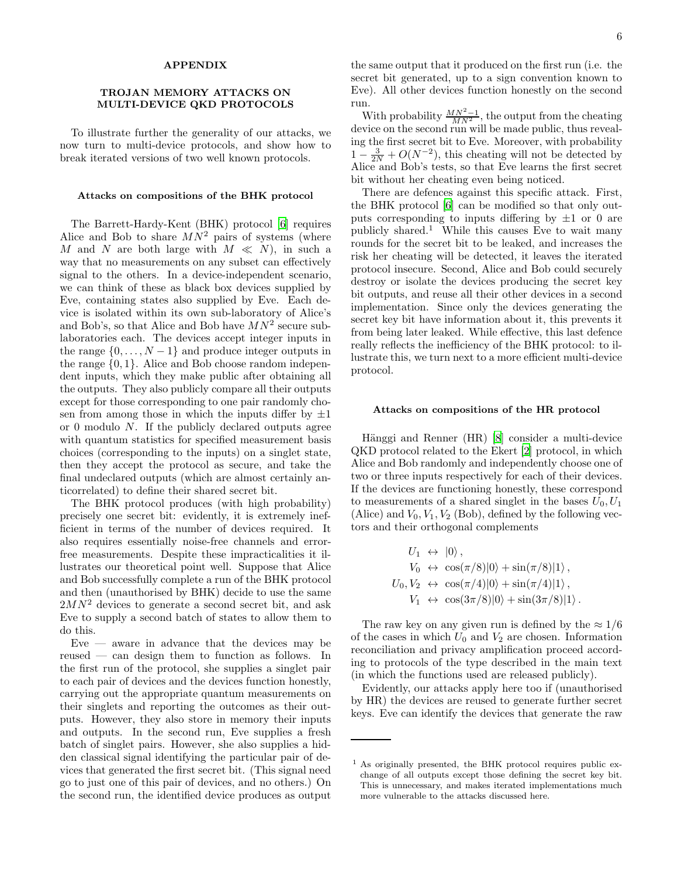### APPENDIX

# TROJAN MEMORY ATTACKS ON MULTI-DEVICE QKD PROTOCOLS

To illustrate further the generality of our attacks, we now turn to multi-device protocols, and show how to break iterated versions of two well known protocols.

### Attacks on compositions of the BHK protocol

The Barrett-Hardy-Kent (BHK) protocol [\[6](#page-4-5)] requires Alice and Bob to share  $MN^2$  pairs of systems (where M and N are both large with  $M \ll N$ , in such a way that no measurements on any subset can effectively signal to the others. In a device-independent scenario, we can think of these as black box devices supplied by Eve, containing states also supplied by Eve. Each device is isolated within its own sub-laboratory of Alice's and Bob's, so that Alice and Bob have  $MN^2$  secure sublaboratories each. The devices accept integer inputs in the range  $\{0, \ldots, N-1\}$  and produce integer outputs in the range  $\{0, 1\}$ . Alice and Bob choose random independent inputs, which they make public after obtaining all the outputs. They also publicly compare all their outputs except for those corresponding to one pair randomly chosen from among those in which the inputs differ by  $\pm 1$ or 0 modulo  $N$ . If the publicly declared outputs agree with quantum statistics for specified measurement basis choices (corresponding to the inputs) on a singlet state, then they accept the protocol as secure, and take the final undeclared outputs (which are almost certainly anticorrelated) to define their shared secret bit.

The BHK protocol produces (with high probability) precisely one secret bit: evidently, it is extremely inefficient in terms of the number of devices required. It also requires essentially noise-free channels and errorfree measurements. Despite these impracticalities it illustrates our theoretical point well. Suppose that Alice and Bob successfully complete a run of the BHK protocol and then (unauthorised by BHK) decide to use the same  $2MN^2$  devices to generate a second secret bit, and ask Eve to supply a second batch of states to allow them to do this.

 $Eve$  — aware in advance that the devices may be reused — can design them to function as follows. In the first run of the protocol, she supplies a singlet pair to each pair of devices and the devices function honestly, carrying out the appropriate quantum measurements on their singlets and reporting the outcomes as their outputs. However, they also store in memory their inputs and outputs. In the second run, Eve supplies a fresh batch of singlet pairs. However, she also supplies a hidden classical signal identifying the particular pair of devices that generated the first secret bit. (This signal need go to just one of this pair of devices, and no others.) On the second run, the identified device produces as output

the same output that it produced on the first run (i.e. the secret bit generated, up to a sign convention known to Eve). All other devices function honestly on the second run.

With probability  $\frac{MN^2-1}{MN^2}$ , the output from the cheating device on the second run will be made public, thus revealing the first secret bit to Eve. Moreover, with probability  $1 - \frac{3}{2N} + O(N^{-2})$ , this cheating will not be detected by Alice and Bob's tests, so that Eve learns the first secret bit without her cheating even being noticed.

There are defences against this specific attack. First, the BHK protocol [\[6\]](#page-4-5) can be modified so that only outputs corresponding to inputs differing by  $\pm 1$  or 0 are publicly shared.<sup>1</sup> While this causes Eve to wait many rounds for the secret bit to be leaked, and increases the risk her cheating will be detected, it leaves the iterated protocol insecure. Second, Alice and Bob could securely destroy or isolate the devices producing the secret key bit outputs, and reuse all their other devices in a second implementation. Since only the devices generating the secret key bit have information about it, this prevents it from being later leaked. While effective, this last defence really reflects the inefficiency of the BHK protocol: to illustrate this, we turn next to a more efficient multi-device protocol.

### Attacks on compositions of the HR protocol

Hänggi and Renner (HR) [\[8\]](#page-4-12) consider a multi-device QKD protocol related to the Ekert [\[2](#page-4-1)] protocol, in which Alice and Bob randomly and independently choose one of two or three inputs respectively for each of their devices. If the devices are functioning honestly, these correspond to measurements of a shared singlet in the bases  $U_0, U_1$ (Alice) and  $V_0$ ,  $V_1$ ,  $V_2$  (Bob), defined by the following vectors and their orthogonal complements

$$
U_1 \leftrightarrow |0\rangle,
$$
  
\n
$$
V_0 \leftrightarrow \cos(\pi/8)|0\rangle + \sin(\pi/8)|1\rangle,
$$
  
\n
$$
U_0, V_2 \leftrightarrow \cos(\pi/4)|0\rangle + \sin(\pi/4)|1\rangle,
$$
  
\n
$$
V_1 \leftrightarrow \cos(3\pi/8)|0\rangle + \sin(3\pi/8)|1\rangle.
$$

The raw key on any given run is defined by the  $\approx 1/6$ of the cases in which  $U_0$  and  $V_2$  are chosen. Information reconciliation and privacy amplification proceed according to protocols of the type described in the main text (in which the functions used are released publicly).

Evidently, our attacks apply here too if (unauthorised by HR) the devices are reused to generate further secret keys. Eve can identify the devices that generate the raw

<sup>1</sup> As originally presented, the BHK protocol requires public exchange of all outputs except those defining the secret key bit. This is unnecessary, and makes iterated implementations much more vulnerable to the attacks discussed here.